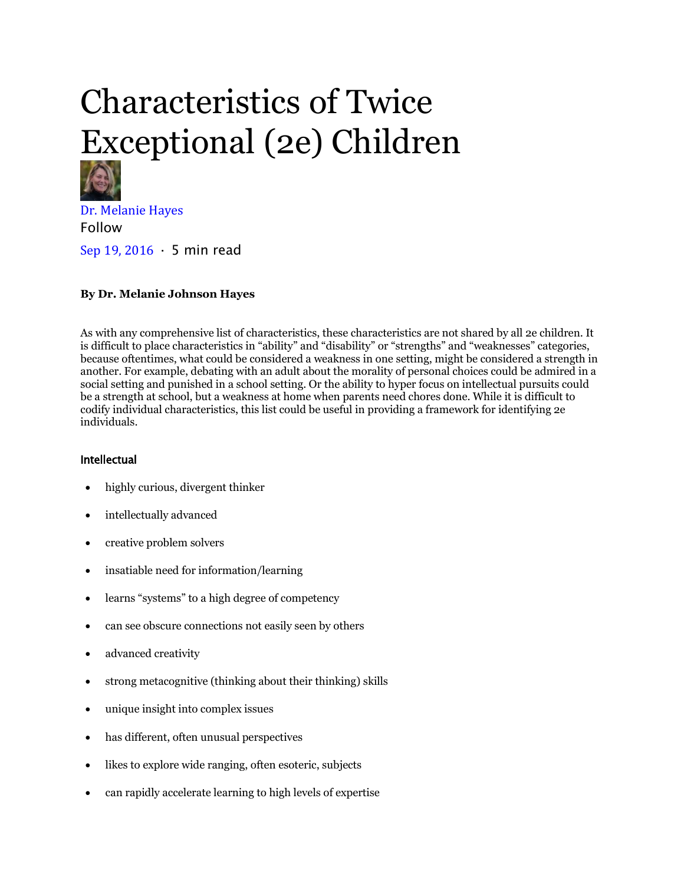# Characteristics of Twice Exceptional (2e) Children



[Dr. Melanie Hayes](https://medium.com/@bigmindsunschool?source=post_page-----5ad7d3c91c38----------------------) Follow

[Sep 19, 2016](https://medium.com/@bigmindsunschool/characteristics-of-2e-children-5ad7d3c91c38?source=post_page-----5ad7d3c91c38----------------------) · 5 min read

# **By Dr. Melanie Johnson Hayes**

As with any comprehensive list of characteristics, these characteristics are not shared by all 2e children. It is difficult to place characteristics in "ability" and "disability" or "strengths" and "weaknesses" categories, because oftentimes, what could be considered a weakness in one setting, might be considered a strength in another. For example, debating with an adult about the morality of personal choices could be admired in a social setting and punished in a school setting. Or the ability to hyper focus on intellectual pursuits could be a strength at school, but a weakness at home when parents need chores done. While it is difficult to codify individual characteristics, this list could be useful in providing a framework for identifying 2e individuals.

## Intellectual

- highly curious, divergent thinker
- intellectually advanced
- creative problem solvers
- insatiable need for information/learning
- learns "systems" to a high degree of competency
- can see obscure connections not easily seen by others
- advanced creativity
- strong metacognitive (thinking about their thinking) skills
- unique insight into complex issues
- has different, often unusual perspectives
- likes to explore wide ranging, often esoteric, subjects
- can rapidly accelerate learning to high levels of expertise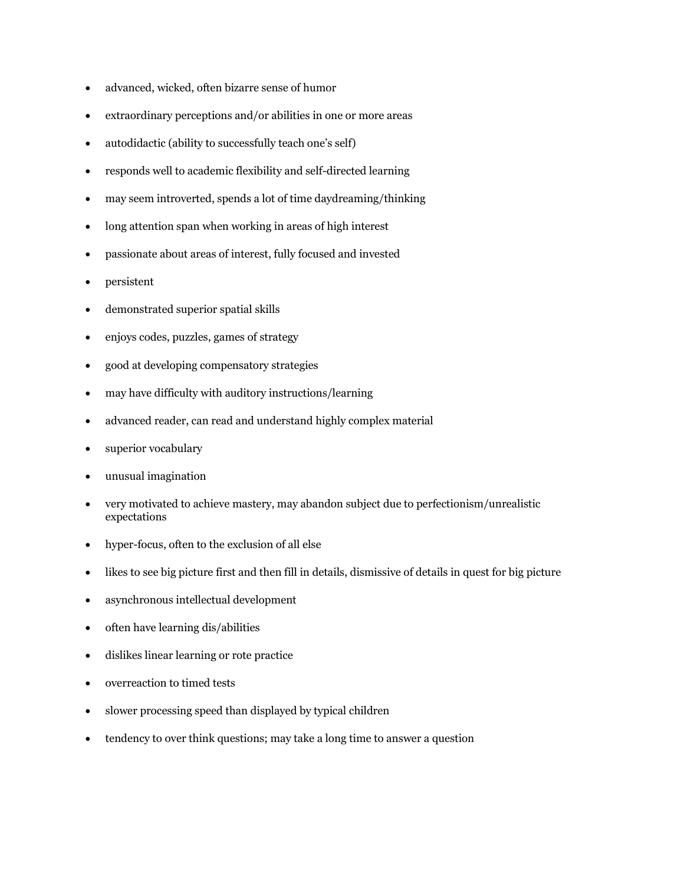- advanced, wicked, often bizarre sense of humor
- extraordinary perceptions and/or abilities in one or more areas
- autodidactic (ability to successfully teach one's self)
- responds well to academic flexibility and self-directed learning
- may seem introverted, spends a lot of time daydreaming/thinking
- long attention span when working in areas of high interest
- passionate about areas of interest, fully focused and invested
- persistent
- demonstrated superior spatial skills
- enjoys codes, puzzles, games of strategy
- good at developing compensatory strategies
- may have difficulty with auditory instructions/learning
- advanced reader, can read and understand highly complex material
- superior vocabulary
- unusual imagination
- very motivated to achieve mastery, may abandon subject due to perfectionism/unrealistic expectations
- hyper-focus, often to the exclusion of all else
- likes to see big picture first and then fill in details, dismissive of details in quest for big picture
- asynchronous intellectual development
- often have learning dis/abilities
- dislikes linear learning or rote practice
- overreaction to timed tests
- slower processing speed than displayed by typical children
- tendency to over think questions; may take a long time to answer a question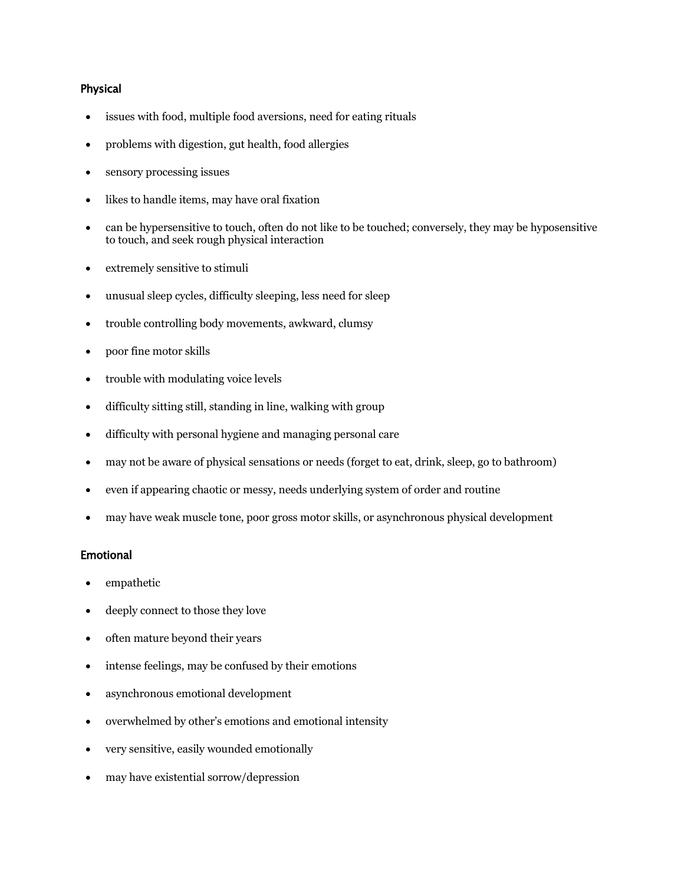### Physical

- issues with food, multiple food aversions, need for eating rituals
- problems with digestion, gut health, food allergies
- sensory processing issues
- likes to handle items, may have oral fixation
- can be hypersensitive to touch, often do not like to be touched; conversely, they may be hyposensitive to touch, and seek rough physical interaction
- extremely sensitive to stimuli
- unusual sleep cycles, difficulty sleeping, less need for sleep
- trouble controlling body movements, awkward, clumsy
- poor fine motor skills
- trouble with modulating voice levels
- difficulty sitting still, standing in line, walking with group
- difficulty with personal hygiene and managing personal care
- may not be aware of physical sensations or needs (forget to eat, drink, sleep, go to bathroom)
- even if appearing chaotic or messy, needs underlying system of order and routine
- may have weak muscle tone, poor gross motor skills, or asynchronous physical development

#### Emotional

- empathetic
- deeply connect to those they love
- often mature beyond their years
- intense feelings, may be confused by their emotions
- asynchronous emotional development
- overwhelmed by other's emotions and emotional intensity
- very sensitive, easily wounded emotionally
- may have existential sorrow/depression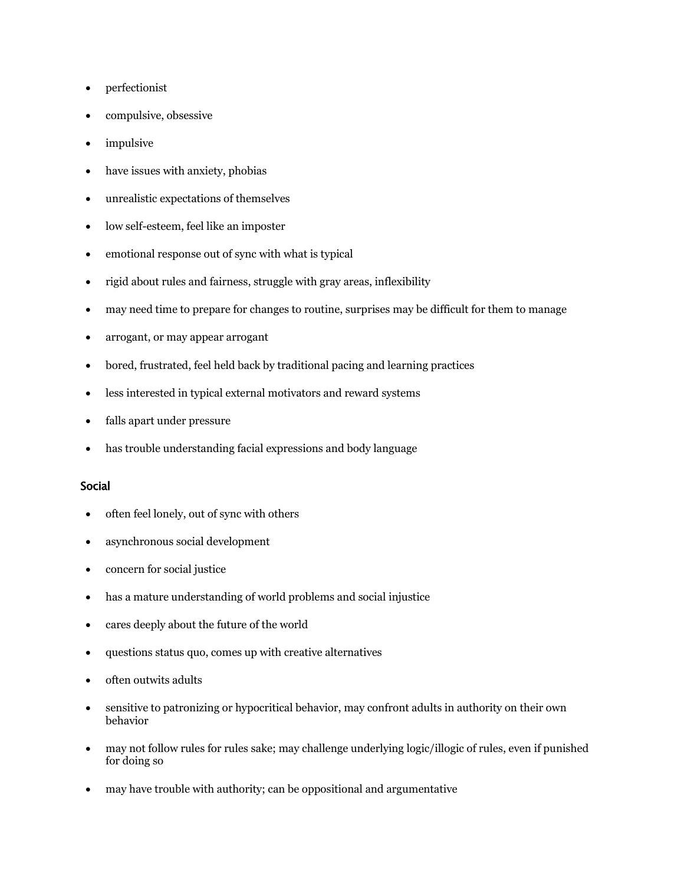- perfectionist
- compulsive, obsessive
- impulsive
- have issues with anxiety, phobias
- unrealistic expectations of themselves
- low self-esteem, feel like an imposter
- emotional response out of sync with what is typical
- rigid about rules and fairness, struggle with gray areas, inflexibility
- may need time to prepare for changes to routine, surprises may be difficult for them to manage
- arrogant, or may appear arrogant
- bored, frustrated, feel held back by traditional pacing and learning practices
- less interested in typical external motivators and reward systems
- falls apart under pressure
- has trouble understanding facial expressions and body language

#### Social

- often feel lonely, out of sync with others
- asynchronous social development
- concern for social justice
- has a mature understanding of world problems and social injustice
- cares deeply about the future of the world
- questions status quo, comes up with creative alternatives
- often outwits adults
- sensitive to patronizing or hypocritical behavior, may confront adults in authority on their own behavior
- may not follow rules for rules sake; may challenge underlying logic/illogic of rules, even if punished for doing so
- may have trouble with authority; can be oppositional and argumentative